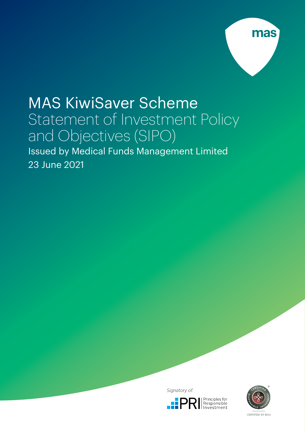

# MAS KiwiSaver Scheme Statement of Investment Policy and Objectives (SIPO) Issued by Medical Funds Management Limited

23 June 2021

Signatory of:





CERTIFIED BY RIAA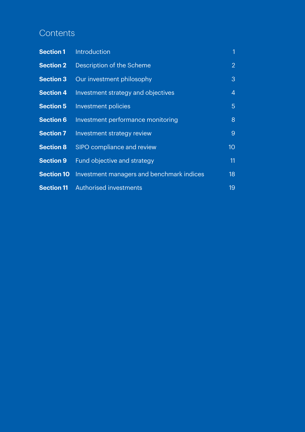# **Contents**

| <b>Section 1</b>  | Introduction                              | 1               |
|-------------------|-------------------------------------------|-----------------|
| <b>Section 2</b>  | Description of the Scheme                 | $\overline{2}$  |
| <b>Section 3</b>  | Our investment philosophy                 | 3               |
| <b>Section 4</b>  | Investment strategy and objectives        | 4               |
| <b>Section 5</b>  | Investment policies                       | $5\phantom{.}$  |
| <b>Section 6</b>  | Investment performance monitoring         | 8               |
| <b>Section 7</b>  | Investment strategy review                | 9               |
| <b>Section 8</b>  | <b>SIPO compliance and review</b>         | 10 <sup>°</sup> |
| <b>Section 9</b>  | Fund objective and strategy               | 11              |
| <b>Section 10</b> | Investment managers and benchmark indices | 18              |
| <b>Section 11</b> | <b>Authorised investments</b>             | 19              |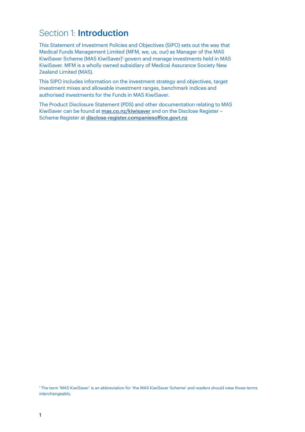# Section 1: **Introduction**

This Statement of Investment Policies and Objectives (SIPO) sets out the way that Medical Funds Management Limited (MFM, we, us, our) as Manager of the MAS KiwiSaver Scheme (MAS KiwiSaver)1 govern and manage investments held in MAS KiwiSaver. MFM is a wholly owned subsidiary of Medical Assurance Society New Zealand Limited (MAS).

This SIPO includes information on the investment strategy and objectives, target investment mixes and allowable investment ranges, benchmark indices and authorised investments for the Funds in MAS KiwiSaver.

The Product Disclosure Statement (PDS) and other documentation relating to MAS KiwiSaver can be found at [mas.co.nz/kiwisaver](http://mas.co.nz/kiwisaver) and on the Disclose Register Scheme Register at [disclose-register.companiesoffice.govt.nz](http://disclose-register.companiesoffice.govt.nz)

1 The term 'MAS KiwiSaver' is an abbreviation for 'the MAS KiwiSaver Scheme' and readers should view those terms interchangeably.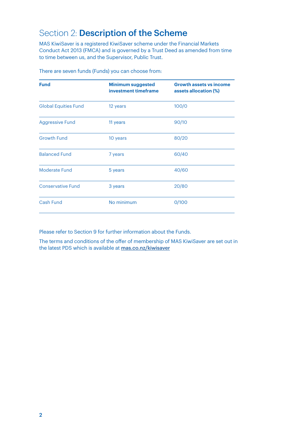# Section 2: Description of the Scheme

MAS KiwiSaver is a registered KiwiSaver scheme under the Financial Markets Conduct Act 2013 (FMCA) and is governed by a Trust Deed as amended from time to time between us, and the Supervisor, Public Trust.

| <b>Fund</b>                 | <b>Minimum suggested</b><br>investment timeframe | <b>Growth assets vs income</b><br>assets allocation (%) |
|-----------------------------|--------------------------------------------------|---------------------------------------------------------|
| <b>Global Equities Fund</b> | 12 years                                         | 100/0                                                   |
| <b>Aggressive Fund</b>      | 11 years                                         | 90/10                                                   |
| <b>Growth Fund</b>          | 10 years                                         | 80/20                                                   |
| <b>Balanced Fund</b>        | 7 years                                          | 60/40                                                   |
| Moderate Fund               | 5 years                                          | 40/60                                                   |
| <b>Conservative Fund</b>    | 3 years                                          | 20/80                                                   |
| Cash Fund                   | No minimum                                       | 0/100                                                   |

There are seven funds (Funds) you can choose from:

Please refer to Section 9 for further information about the Funds.

The terms and conditions of the offer of membership of MAS KiwiSaver are set out in the latest PDS which is available at [mas.co.nz/kiwisaver](http://mas.co.nz/kiwisaver.)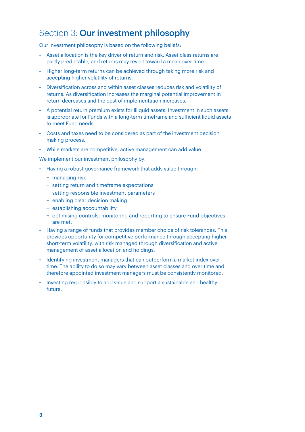# Section 3: Our investment philosophy

Our investment philosophy is based on the following beliefs:

- Asset allocation is the key driver of return and risk. Asset class returns are partly predictable, and returns may revert toward a mean over time.
- Higher long-term returns can be achieved through taking more risk and accepting higher volatility of returns.
- Diversification across and within asset classes reduces risk and volatility of returns. As diversification increases the marginal potential improvement in return decreases and the cost of implementation increases.
- A potential return premium exists for illiquid assets. Investment in such assets is appropriate for Funds with a long-term timeframe and sufficient liquid assets to meet Fund needs.
- Costs and taxes need to be considered as part of the investment decision making process.
- While markets are competitive, active management can add value.

We implement our investment philosophy by:

- Having a robust governance framework that adds value through:
	- − managing risk
	- − setting return and timeframe expectations
	- − setting responsible investment parameters
	- − enabling clear decision making
	- − establishing accountability
	- − optimising controls, monitoring and reporting to ensure Fund objectives are met.
- Having a range of funds that provides member choice of risk tolerances. This provides opportunity for competitive performance through accepting higher short-term volatility, with risk managed through diversification and active management of asset allocation and holdings.
- Identifying investment managers that can outperform a market index over time. The ability to do so may vary between asset classes and over time and therefore appointed investment managers must be consistently monitored.
- Investing responsibly to add value and support a sustainable and healthy future.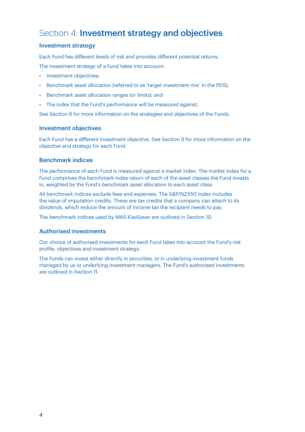# Section 4: Investment strategy and objectives

### Investment strategy

Each Fund has different levels of risk and provides different potential returns.

The investment strategy of a Fund takes into account:

- Investment objectives;
- Benchmark asset allocation (referred to as 'target investment mix' in the PDS);
- Benchmark asset allocation ranges (or limits); and
- The index that the Fund's performance will be measured against.

See Section 9 for more information on the strategies and objectives of the Funds.

### Investment objectives

Each Fund has a different investment objective. See Section 9 for more information on the objective and strategy for each Fund.

### Benchmark indices

The performance of each Fund is measured against a market index. The market index for a Fund comprises the benchmark index return of each of the asset classes the Fund invests in, weighted by the Fund's benchmark asset allocation to each asset class.

All benchmark indices exclude fees and expenses. The S&P/NZX50 Index includes the value of imputation credits. These are tax credits that a company can attach to its dividends, which reduce the amount of income tax the recipient needs to pay.

The benchmark indices used by MAS KiwiSaver are outlined in Section 10.

### Authorised investments

Our choice of authorised investments for each Fund takes into account the Fund's risk profile, objectives and investment strategy.

The Funds can invest either directly in securities, or in underlying investment funds managed by us or underlying investment managers. The Fund's authorised investments are outlined in Section 11.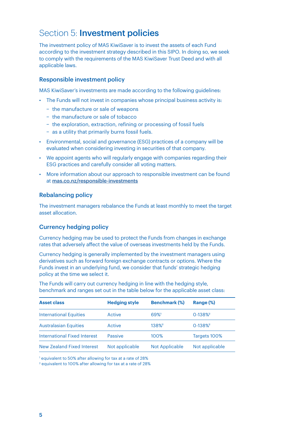# Section 5: **Investment policies**

The investment policy of MAS KiwiSaver is to invest the assets of each Fund according to the investment strategy described in this SIPO. In doing so, we seek to comply with the requirements of the MAS KiwiSaver Trust Deed and with all applicable laws.

### Responsible investment policy

MAS KiwiSaver's investments are made according to the following guidelines:

- The Funds will not invest in companies whose principal business activity is:
	- − the manufacture or sale of weapons
	- − the manufacture or sale of tobacco
	- − the exploration, extraction, refining or processing of fossil fuels
	- − as a utility that primarily burns fossil fuels.
- Environmental, social and governance (ESG) practices of a company will be evaluated when considering investing in securities of that company.
- We appoint agents who will regularly engage with companies regarding their ESG practices and carefully consider all voting matters.
- More information about our approach to responsible investment can be found at [mas.co.nz/responsible-investments](http://mas.co.nz/responsible-investments)

### Rebalancing policy

The investment managers rebalance the Funds at least monthly to meet the target asset allocation.

### Currency hedging policy

Currency hedging may be used to protect the Funds from changes in exchange rates that adversely affect the value of overseas investments held by the Funds.

Currency hedging is generally implemented by the investment managers using derivatives such as forward foreign exchange contracts or options. Where the Funds invest in an underlying fund, we consider that funds' strategic hedging policy at the time we select it.

The Funds will carry out currency hedging in line with the hedging style, benchmark and ranges set out in the table below for the applicable asset class:

| <b>Asset class</b>                | <b>Hedging style</b> | <b>Benchmark (%)</b>  | Range (%)               |
|-----------------------------------|----------------------|-----------------------|-------------------------|
| <b>International Equities</b>     | Active               | 69%                   | $0 - 138%$              |
| <b>Australasian Equities</b>      | Active               | 138% <sup>2</sup>     | $0 - 138%$ <sup>2</sup> |
| International Fixed Interest      | Passive              | 100%                  | Targets 100%            |
| <b>New Zealand Fixed Interest</b> | Not applicable       | <b>Not Applicable</b> | Not applicable          |

1 equivalent to 50% after allowing for tax at a rate of 28%

2 equivalent to 100% after allowing for tax at a rate of 28%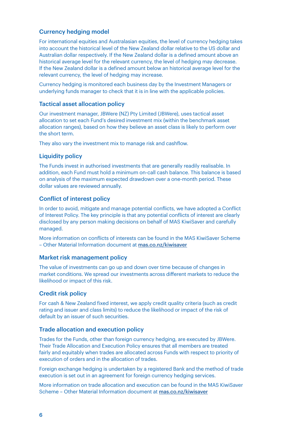# Currency hedging model

For international equities and Australasian equities, the level of currency hedging takes into account the historical level of the New Zealand dollar relative to the US dollar and Australian dollar respectively. If the New Zealand dollar is a defined amount above an historical average level for the relevant currency, the level of hedging may decrease. If the New Zealand dollar is a defined amount below an historical average level for the relevant currency, the level of hedging may increase.

Currency hedging is monitored each business day by the Investment Managers or underlying funds manager to check that it is in line with the applicable policies.

### Tactical asset allocation policy

Our investment manager, JBWere (NZ) Pty Limited (JBWere), uses tactical asset allocation to set each Fund's desired investment mix (within the benchmark asset allocation ranges), based on how they believe an asset class is likely to perform over the short term.

They also vary the investment mix to manage risk and cashflow.

### **Liquidity policy**

The Funds invest in authorised investments that are generally readily realisable. In addition, each Fund must hold a minimum on-call cash balance. This balance is based on analysis of the maximum expected drawdown over a one-month period. These dollar values are reviewed annually.

#### Conflict of interest policy

In order to avoid, mitigate and manage potential conflicts, we have adopted a Conflict of Interest Policy. The key principle is that any potential conflicts of interest are clearly disclosed by any person making decisions on behalf of MAS KiwiSaver and carefully managed.

More information on conflicts of interests can be found in the MAS KiwiSaver Scheme – Other Material Information document at [mas.co.nz/kiwisaver](http://mas.co.nz/kiwisaver)

#### Market risk management policy

The value of investments can go up and down over time because of changes in market conditions. We spread our investments across different markets to reduce the likelihood or impact of this risk.

#### Credit risk policy

For cash & New Zealand fixed interest, we apply credit quality criteria (such as credit rating and issuer and class limits) to reduce the likelihood or impact of the risk of default by an issuer of such securities.

### Trade allocation and execution policy

Trades for the Funds, other than foreign currency hedging, are executed by JBWere. Their Trade Allocation and Execution Policy ensures that all members are treated fairly and equitably when trades are allocated across Funds with respect to priority of execution of orders and in the allocation of trades.

Foreign exchange hedging is undertaken by a registered Bank and the method of trade execution is set out in an agreement for foreign currency hedging services.

More information on trade allocation and execution can be found in the MAS KiwiSaver Scheme – Other Material Information document at [mas.co.nz/kiwisaver](http://mas.co.nz/kiwisaver)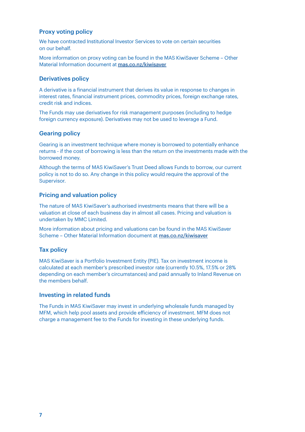### Proxy voting policy

We have contracted Institutional Investor Services to vote on certain securities on our behalf.

More information on proxy voting can be found in the MAS KiwiSaver Scheme – Other Material Information document at [mas.co.nz/kiwisaver](http://mas.co.nz/kiwisaver)

#### Derivatives policy

A derivative is a financial instrument that derives its value in response to changes in interest rates, financial instrument prices, commodity prices, foreign exchange rates, credit risk and indices.

The Funds may use derivatives for risk management purposes (including to hedge foreign currency exposure). Derivatives may not be used to leverage a Fund.

### Gearing policy

Gearing is an investment technique where money is borrowed to potentially enhance returns - if the cost of borrowing is less than the return on the investments made with the borrowed money.

Although the terms of MAS KiwiSaver's Trust Deed allows Funds to borrow, our current policy is not to do so. Any change in this policy would require the approval of the Supervisor.

### Pricing and valuation policy

The nature of MAS KiwiSaver's authorised investments means that there will be a valuation at close of each business day in almost all cases. Pricing and valuation is undertaken by MMC Limited.

More information about pricing and valuations can be found in the MAS KiwiSaver Scheme – Other Material Information document at [mas.co.nz/kiwisaver](http://mas.co.nz/kiwisaver)

### Tax policy

MAS KiwiSaver is a Portfolio Investment Entity (PIE). Tax on investment income is calculated at each member's prescribed investor rate (currently 10.5%, 17.5% or 28% depending on each member's circumstances) and paid annually to Inland Revenue on the members behalf.

#### Investing in related funds

The Funds in MAS KiwiSaver may invest in underlying wholesale funds managed by MFM, which help pool assets and provide efficiency of investment. MFM does not charge a management fee to the Funds for investing in these underlying funds.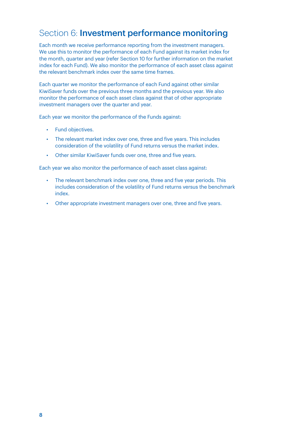# Section 6: Investment performance monitoring

Each month we receive performance reporting from the investment managers. We use this to monitor the performance of each Fund against its market index for the month, quarter and year (refer Section 10 for further information on the market index for each Fund). We also monitor the performance of each asset class against the relevant benchmark index over the same time frames.

Each quarter we monitor the performance of each Fund against other similar KiwiSaver funds over the previous three months and the previous year. We also monitor the performance of each asset class against that of other appropriate investment managers over the quarter and year.

Each year we monitor the performance of the Funds against:

- Fund objectives.
- The relevant market index over one, three and five years. This includes consideration of the volatility of Fund returns versus the market index.
- Other similar KiwiSaver funds over one, three and five years.

Each year we also monitor the performance of each asset class against:

- The relevant benchmark index over one, three and five year periods. This includes consideration of the volatility of Fund returns versus the benchmark index.
- Other appropriate investment managers over one, three and five years.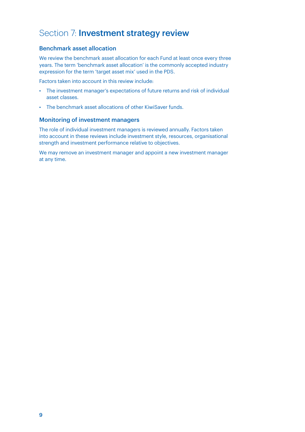# Section 7: Investment strategy review

### Benchmark asset allocation

We review the benchmark asset allocation for each Fund at least once every three years. The term 'benchmark asset allocation' is the commonly accepted industry expression for the term 'target asset mix' used in the PDS.

Factors taken into account in this review include:

- The investment manager's expectations of future returns and risk of individual asset classes.
- The benchmark asset allocations of other KiwiSaver funds.

### Monitoring of investment managers

The role of individual investment managers is reviewed annually. Factors taken into account in these reviews include investment style, resources, organisational strength and investment performance relative to objectives.

We may remove an investment manager and appoint a new investment manager at any time.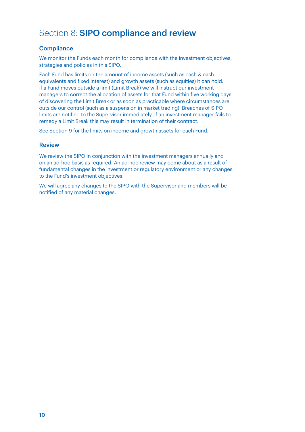# Section 8: SIPO compliance and review

# **Compliance**

We monitor the Funds each month for compliance with the investment objectives, strategies and policies in this SIPO.

Each Fund has limits on the amount of income assets (such as cash & cash equivalents and fixed interest) and growth assets (such as equities) it can hold. If a Fund moves outside a limit (Limit Break) we will instruct our investment managers to correct the allocation of assets for that Fund within five working days of discovering the Limit Break or as soon as practicable where circumstances are outside our control (such as a suspension in market trading). Breaches of SIPO limits are notified to the Supervisor immediately. If an investment manager fails to remedy a Limit Break this may result in termination of their contract.

See Section 9 for the limits on income and growth assets for each Fund.

#### Review

We review the SIPO in conjunction with the investment managers annually and on an ad-hoc basis as required. An ad-hoc review may come about as a result of fundamental changes in the investment or regulatory environment or any changes to the Fund's investment objectives.

We will agree any changes to the SIPO with the Supervisor and members will be notified of any material changes.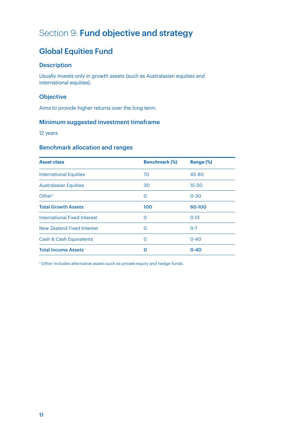# Section 9: Fund objective and strategy

# Global Equities Fund

# **Description**

Usually invests only in growth assets (such as Australasian equities and international equities).

### **Objective**

Aims to provide higher returns over the long term.

# Minimum suggested investment timeframe

12 years

# Benchmark allocation and ranges

| <b>Asset class</b>                  | <b>Benchmark (%)</b> | Range (%) |
|-------------------------------------|----------------------|-----------|
| <b>International Equities</b>       | 70                   | 45-80     |
| <b>Australasian Equities</b>        | 30                   | $15 - 50$ |
| Other <sup>1</sup>                  | O                    | $0 - 30$  |
| <b>Total Growth Assets</b>          | 100                  | 60-100    |
| <b>International Fixed Interest</b> | ∩                    | $0 - 13$  |
| <b>New Zealand Fixed Interest</b>   | $\Omega$             | $O - 7$   |
| Cash & Cash Equivalents             | ∩                    | $0 - 40$  |
| <b>Total Income Assets</b>          | Ω                    | $0 - 40$  |

1 Other includes alternative assets such as private equity and hedge funds.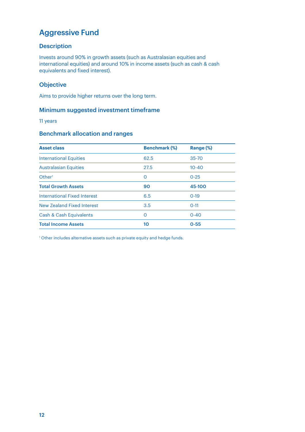# Aggressive Fund

# **Description**

Invests around 90% in growth assets (such as Australasian equities and international equities) and around 10% in income assets (such as cash & cash equivalents and fixed interest).

# **Objective**

Aims to provide higher returns over the long term.

### Minimum suggested investment timeframe

11 years

# Benchmark allocation and ranges

| <b>Asset class</b>                  | <b>Benchmark (%)</b> | Range (%) |
|-------------------------------------|----------------------|-----------|
| <b>International Equities</b>       | 62.5                 | 35-70     |
| <b>Australasian Equities</b>        | 27.5                 | $10 - 40$ |
| Other <sup>1</sup>                  | 0                    | $0 - 25$  |
| <b>Total Growth Assets</b>          | 90                   | 45-100    |
| <b>International Fixed Interest</b> | 6.5                  | $0-19$    |
| New Zealand Fixed Interest          | 3.5                  | $O-11$    |
| <b>Cash &amp; Cash Equivalents</b>  | O                    | $0 - 40$  |
| <b>Total Income Assets</b>          | 10                   | $0 - 55$  |

1 Other includes alternative assets such as private equity and hedge funds.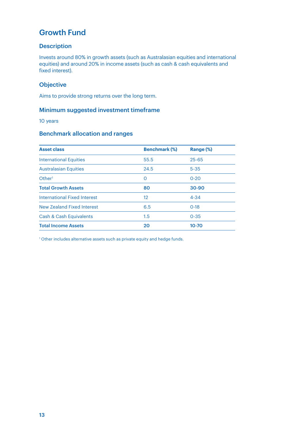# Growth Fund

# **Description**

Invests around 80% in growth assets (such as Australasian equities and international equities) and around 20% in income assets (such as cash & cash equivalents and fixed interest).

# **Objective**

Aims to provide strong returns over the long term.

### Minimum suggested investment timeframe

10 years

# Benchmark allocation and ranges

| <b>Benchmark (%)</b> | Range (%) |
|----------------------|-----------|
| 55.5                 | $25 - 65$ |
| 24.5                 | $5 - 35$  |
| $\Omega$             | $0 - 20$  |
| 80                   | 30-90     |
| 12                   | $4 - 34$  |
| 6.5                  | $0-18$    |
| 1.5                  | $0 - 35$  |
| 20                   | $10 - 70$ |
|                      |           |

1 Other includes alternative assets such as private equity and hedge funds.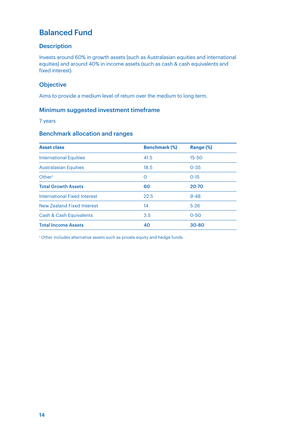# Balanced Fund

# **Description**

Invests around 60% in growth assets (such as Australasian equities and international equities) and around 40% in income assets (such as cash & cash equivalents and fixed interest).

# **Objective**

Aims to provide a medium level of return over the medium to long term.

### Minimum suggested investment timeframe

7 years

# Benchmark allocation and ranges

| <b>Asset class</b>            | <b>Benchmark (%)</b> | Range (%) |
|-------------------------------|----------------------|-----------|
| <b>International Equities</b> | 41.5                 | $15 - 50$ |
| <b>Australasian Equities</b>  | 18.5                 | $0 - 35$  |
| Other <sup>1</sup>            | 0                    | $0 - 15$  |
| <b>Total Growth Assets</b>    | 60                   | 20-70     |
| International Fixed Interest  | 22.5                 | $9 - 48$  |
| New Zealand Fixed Interest    | 14                   | $5-26$    |
| Cash & Cash Equivalents       | 3.5                  | $0 - 50$  |
| <b>Total Income Assets</b>    | 40                   | $30 - 80$ |

<sup>1</sup> Other includes alternative assets such as private equity and hedge funds.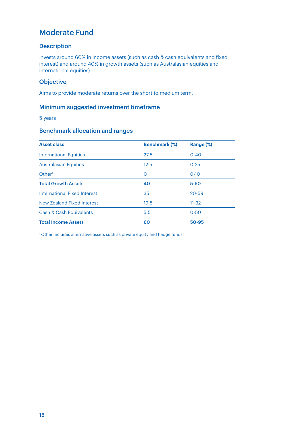# Moderate Fund

### **Description**

Invests around 60% in income assets (such as cash & cash equivalents and fixed interest) and around 40% in growth assets (such as Australasian equities and international equities).

# **Objective**

Aims to provide moderate returns over the short to medium term.

# Minimum suggested investment timeframe

5 years

# Benchmark allocation and ranges

| <b>Asset class</b>                 | <b>Benchmark (%)</b> | Range (%) |
|------------------------------------|----------------------|-----------|
| <b>International Equities</b>      | 27.5                 | $0 - 40$  |
| <b>Australasian Equities</b>       | 12.5                 | $0 - 25$  |
| Other <sup>1</sup>                 | 0                    | $0 - 10$  |
| <b>Total Growth Assets</b>         | 40                   | $5 - 50$  |
| International Fixed Interest       | 35                   | $20 - 59$ |
| <b>New Zealand Fixed Interest</b>  | 19.5                 | $11 - 32$ |
| <b>Cash &amp; Cash Equivalents</b> | 5.5                  | $0 - 50$  |
| <b>Total Income Assets</b>         | 60                   | 50-95     |

<sup>1</sup> Other includes alternative assets such as private equity and hedge funds.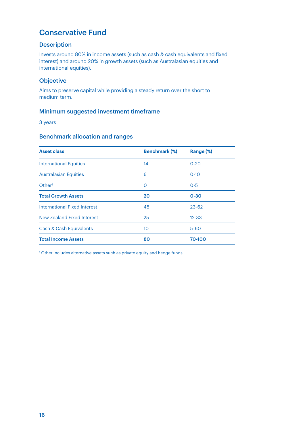# Conservative Fund

### **Description**

Invests around 80% in income assets (such as cash & cash equivalents and fixed interest) and around 20% in growth assets (such as Australasian equities and international equities).

### **Objective**

Aims to preserve capital while providing a steady return over the short to medium term.

### Minimum suggested investment timeframe

3 years

# Benchmark allocation and ranges

| <b>Asset class</b>                  | <b>Benchmark (%)</b> | Range (%) |
|-------------------------------------|----------------------|-----------|
| <b>International Equities</b>       | 14                   | $0 - 20$  |
| <b>Australasian Equities</b>        | 6                    | $0 - 10$  |
| Other <sup>1</sup>                  | O                    | $0 - 5$   |
| <b>Total Growth Assets</b>          | 20                   | $0 - 30$  |
| <b>International Fixed Interest</b> | 45                   | $23 - 62$ |
| <b>New Zealand Fixed Interest</b>   | 25                   | $12 - 33$ |
| Cash & Cash Equivalents             | 10                   | $5 - 60$  |
| <b>Total Income Assets</b>          | 80                   | 70-100    |

<sup>1</sup> Other includes alternative assets such as private equity and hedge funds.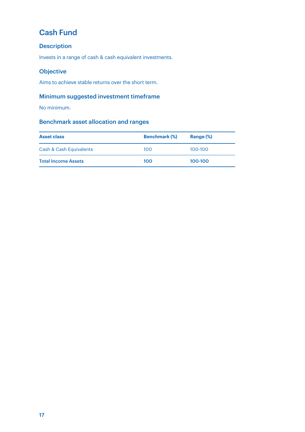# Cash Fund

# Description

Invests in a range of cash & cash equivalent investments.

# Objective

Aims to achieve stable returns over the short term.

# Minimum suggested investment timeframe

No minimum.

# Benchmark asset allocation and ranges

| <b>Asset class</b>         | <b>Benchmark (%)</b> | Range (%)   |
|----------------------------|----------------------|-------------|
| Cash & Cash Equivalents    | 100                  | $100 - 100$ |
| <b>Total Income Assets</b> | 100                  | 100-100     |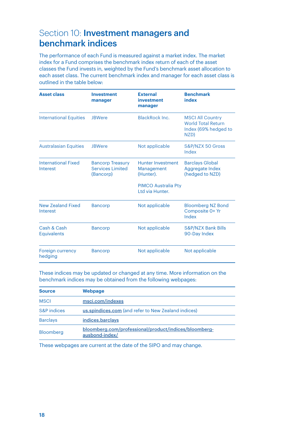# Section 10: **Investment managers and** benchmark indices

The performance of each Fund is measured against a market index. The market index for a Fund comprises the benchmark index return of each of the asset classes the Fund invests in, weighted by the Fund's benchmark asset allocation to each asset class. The current benchmark index and manager for each asset class is outlined in the table below:

| <b>Asset class</b>                     | <b>Investment</b><br>manager                                    | <b>External</b><br>investment<br>manager                                                             | <b>Benchmark</b><br>index                                                            |
|----------------------------------------|-----------------------------------------------------------------|------------------------------------------------------------------------------------------------------|--------------------------------------------------------------------------------------|
| <b>International Equities</b>          | <b>IBWere</b>                                                   | BlackRock Inc.                                                                                       | <b>MSCI All Country</b><br><b>World Total Return</b><br>Index (69% hedged to<br>NZD) |
| <b>Australasian Equities</b>           | <b>JBWere</b>                                                   | Not applicable                                                                                       | S&P/NZX 50 Gross<br>Index                                                            |
| <b>International Fixed</b><br>Interest | <b>Bancorp Treasury</b><br><b>Services Limited</b><br>(Bancorp) | <b>Hunter Investment</b><br>Management<br>(Hunter).<br><b>PIMCO Australia Pty</b><br>Ltd via Hunter. | <b>Barclays Global</b><br>Aggregate Index<br>(hedged to NZD)                         |
| <b>New Zealand Fixed</b><br>Interest   | <b>Bancorp</b>                                                  | Not applicable                                                                                       | <b>Bloomberg NZ Bond</b><br>Composite 0+ Yr<br>Index                                 |
| Cash & Cash<br><b>Equivalents</b>      | <b>Bancorp</b>                                                  | Not applicable                                                                                       | <b>S&amp;P/NZX Bank Bills</b><br>90-Day Index                                        |
| <b>Foreign currency</b><br>hedging     | <b>Bancorp</b>                                                  | Not applicable                                                                                       | Not applicable                                                                       |

These indices may be updated or changed at any time. More information on the benchmark indices may be obtained from the following webpages:

| <b>Source</b>   | Webpage                                                                 |
|-----------------|-------------------------------------------------------------------------|
| <b>MSCI</b>     | msci.com/indexes                                                        |
| S&P indices     | us.spindices.com (and refer to New Zealand indices)                     |
| <b>Barclays</b> | indices.barclays                                                        |
| Bloomberg       | bloomberg.com/professional/product/indices/bloomberg-<br>ausbond-index/ |

These webpages are current at the date of the SIPO and may change.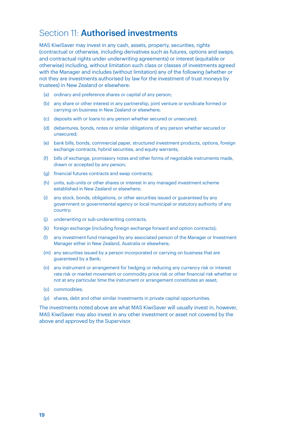# Section 11: **Authorised investments**

MAS KiwiSaver may invest in any cash, assets, property, securities, rights (contractual or otherwise, including derivatives such as futures, options and swaps, and contractual rights under underwriting agreements) or interest (equitable or otherwise) including, without limitation such class or classes of investments agreed with the Manager and includes (without limitation) any of the following (whether or not they are investments authorised by law for the investment of trust moneys by trustees) in New Zealand or elsewhere:

- (a) ordinary and preference shares or capital of any person;
- (b) any share or other interest in any partnership, joint venture or syndicate formed or carrying on business in New Zealand or elsewhere;
- (c) deposits with or loans to any person whether secured or unsecured;
- (d) debentures, bonds, notes or similar obligations of any person whether secured or unsecured;
- (e) bank bills, bonds, commercial paper, structured investment products, options, foreign exchange contracts, hybrid securities, and equity warrants;
- (f) bills of exchange, promissory notes and other forms of negotiable instruments made, drawn or accepted by any person;
- (g) financial futures contracts and swap contracts;
- (h) units, sub-units or other shares or interest in any managed investment scheme established in New Zealand or elsewhere;
- (i) any stock, bonds, obligations, or other securities issued or guaranteed by any government or governmental agency or local municipal or statutory authority of any country;
- (j) underwriting or sub-underwriting contracts;
- (k) foreign exchange (including foreign exchange forward and option contracts);
- (l) any investment fund managed by any associated person of the Manager or Investment Manager either in New Zealand, Australia or elsewhere;
- (m) any securities issued by a person incorporated or carrying on business that are guaranteed by a Bank;
- (n) any instrument or arrangement for hedging or reducing any currency risk or interest rate risk or market movement or commodity price risk or other financial risk whether or not at any particular time the instrument or arrangement constitutes an asset;
- (o) commodities;
- (p) shares, debt and other similar investments in private capital opportunities.

The investments noted above are what MAS KiwiSaver will usually invest in, however, MAS KiwiSaver may also invest in any other investment or asset not covered by the above and approved by the Supervisor.